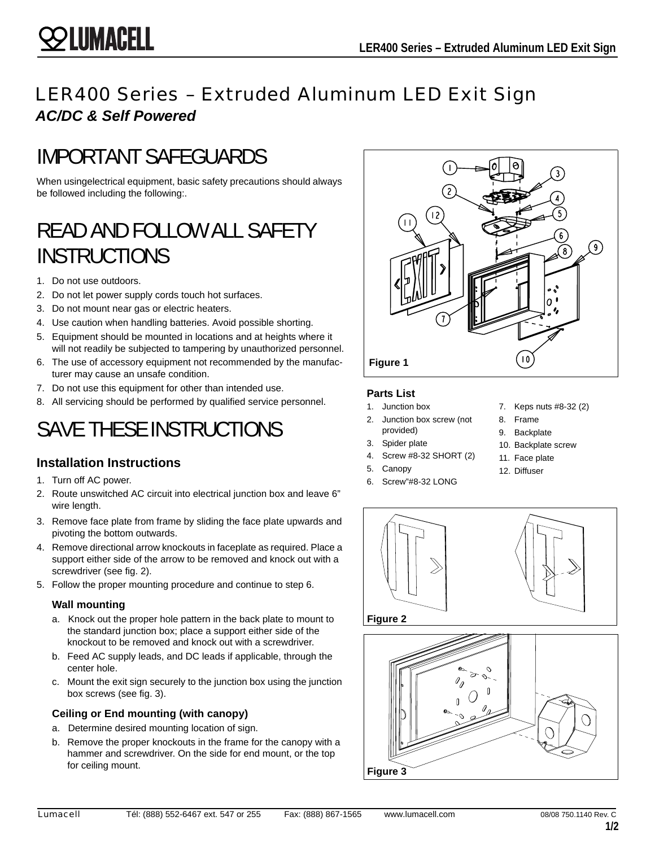## LER400 Series – Extruded Aluminum LED Exit Sign *AC/DC & Self Powered*

# IMPORTANT SAFEGUARDS

When usingelectrical equipment, basic safety precautions should always be followed including the following:.

## READ AND FOLLOW ALL SAFETY INSTRUCTIONS

- 1. Do not use outdoors.
- 2. Do not let power supply cords touch hot surfaces.
- 3. Do not mount near gas or electric heaters.
- 4. Use caution when handling batteries. Avoid possible shorting.
- 5. Equipment should be mounted in locations and at heights where it will not readily be subjected to tampering by unauthorized personnel.
- 6. The use of accessory equipment not recommended by the manufacturer may cause an unsafe condition.
- 7. Do not use this equipment for other than intended use.
- 8. All servicing should be performed by qualified service personnel.

# SAVE THESE INSTRUCTIONS

### **Installation Instructions**

- 1. Turn off AC power.
- 2. Route unswitched AC circuit into electrical junction box and leave 6" wire length.
- 3. Remove face plate from frame by sliding the face plate upwards and pivoting the bottom outwards.
- 4. Remove directional arrow knockouts in faceplate as required. Place a support either side of the arrow to be removed and knock out with a screwdriver (see fig. 2).
- 5. Follow the proper mounting procedure and continue to step 6.

#### **Wall mounting**

- a. Knock out the proper hole pattern in the back plate to mount to the standard junction box; place a support either side of the knockout to be removed and knock out with a screwdriver.
- b. Feed AC supply leads, and DC leads if applicable, through the center hole.
- c. Mount the exit sign securely to the junction box using the junction box screws (see fig. 3).

#### **Ceiling or End mounting (with canopy)**

- a. Determine desired mounting location of sign.
- b. Remove the proper knockouts in the frame for the canopy with a hammer and screwdriver. On the side for end mount, or the top for ceiling mount.



#### **Parts List**

- 1. Junction box 2. Junction box screw (not
- provided)
- 3. Spider plate
- 4. Screw #8-32 SHORT (2)
- 5. Canopy
- 6. Screw"#8-32 LONG
- 7. Keps nuts #8-32 (2)
- 8. Frame
- 9. Backplate
- 10. Backplate screw
- 11. Face plate
- 12. Diffuser